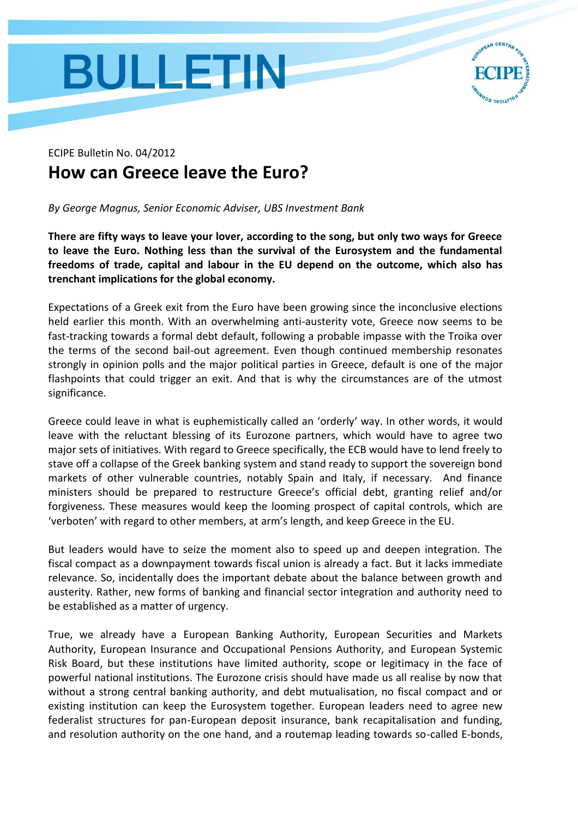## **BULLETIN**



## ECIPE Bulletin No. 04/2012 **How can Greece leave the Euro?**

*By George Magnus, Senior Economic Adviser, UBS Investment Bank*

**There are fifty ways to leave your lover, according to the song, but only two ways for Greece to leave the Euro. Nothing less than the survival of the Eurosystem and the fundamental freedoms of trade, capital and labour in the EU depend on the outcome, which also has trenchant implications for the global economy.** 

Expectations of a Greek exit from the Euro have been growing since the inconclusive elections held earlier this month. With an overwhelming anti-austerity vote, Greece now seems to be fast-tracking towards a formal debt default, following a probable impasse with the Troika over the terms of the second bail-out agreement. Even though continued membership resonates strongly in opinion polls and the major political parties in Greece, default is one of the major flashpoints that could trigger an exit. And that is why the circumstances are of the utmost significance.

Greece could leave in what is euphemistically called an 'orderly' way. In other words, it would leave with the reluctant blessing of its Eurozone partners, which would have to agree two major sets of initiatives. With regard to Greece specifically, the ECB would have to lend freely to stave off a collapse of the Greek banking system and stand ready to support the sovereign bond markets of other vulnerable countries, notably Spain and Italy, if necessary. And finance ministers should be prepared to restructure Greece's official debt, granting relief and/or forgiveness. These measures would keep the looming prospect of capital controls, which are 'verboten' with regard to other members, at arm's length, and keep Greece in the EU.

But leaders would have to seize the moment also to speed up and deepen integration. The fiscal compact as a downpayment towards fiscal union is already a fact. But it lacks immediate relevance. So, incidentally does the important debate about the balance between growth and austerity. Rather, new forms of banking and financial sector integration and authority need to be established as a matter of urgency.

True, we already have a European Banking Authority, European Securities and Markets Authority, European Insurance and Occupational Pensions Authority, and European Systemic Risk Board, but these institutions have limited authority, scope or legitimacy in the face of powerful national institutions. The Eurozone crisis should have made us all realise by now that without a strong central banking authority, and debt mutualisation, no fiscal compact and or existing institution can keep the Eurosystem together. European leaders need to agree new federalist structures for pan-European deposit insurance, bank recapitalisation and funding, and resolution authority on the one hand, and a routemap leading towards so-called E-bonds,